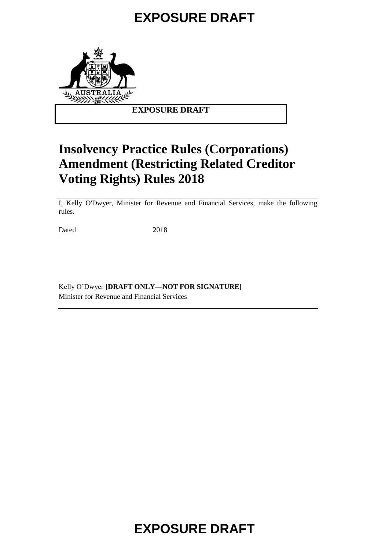# **EXPOSURE DRAFT**



### **EXPOSURE DRAFT**

### **Insolvency Practice Rules (Corporations) Amendment (Restricting Related Creditor Voting Rights) Rules 2018**

I, Kelly O'Dwyer, Minister for Revenue and Financial Services, make the following rules.

Dated 2018

Kelly O'Dwyer **[DRAFT ONLY—NOT FOR SIGNATURE]** Minister for Revenue and Financial Services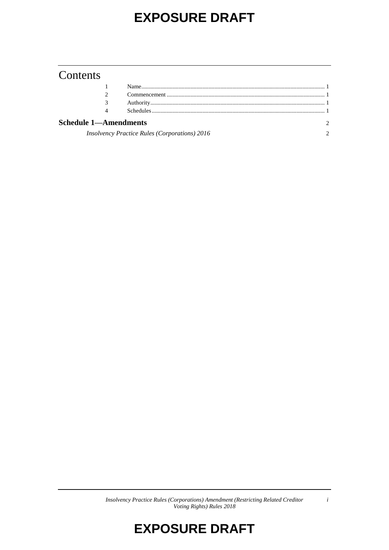# **EXPOSURE DRAFT**

### Contents

| 4                                                    |  |  |
|------------------------------------------------------|--|--|
| <b>Schedule 1—Amendments</b>                         |  |  |
| <b>Insolvency Practice Rules (Corporations) 2016</b> |  |  |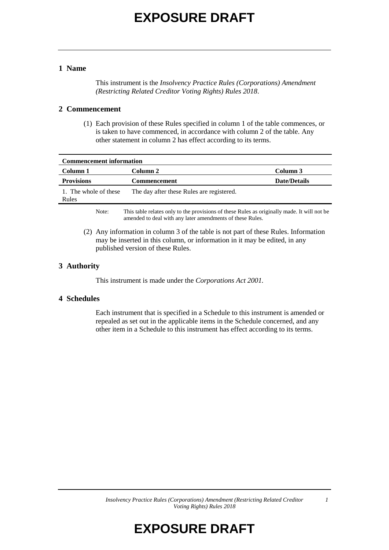# **EXPOSURE DRAFT**

#### **1 Name**

This instrument is the *Insolvency Practice Rules (Corporations) Amendment (Restricting Related Creditor Voting Rights) Rules 2018*.

#### **2 Commencement**

(1) Each provision of these Rules specified in column 1 of the table commences, or is taken to have commenced, in accordance with column 2 of the table. Any other statement in column 2 has effect according to its terms.

| <b>Commencement information</b> |                                                                                                                                                          |                     |  |  |
|---------------------------------|----------------------------------------------------------------------------------------------------------------------------------------------------------|---------------------|--|--|
| Column 1                        | Column 2                                                                                                                                                 | Column 3            |  |  |
| <b>Provisions</b>               | <b>Commencement</b>                                                                                                                                      | <b>Date/Details</b> |  |  |
| 1. The whole of these<br>Rules  | The day after these Rules are registered.                                                                                                                |                     |  |  |
| Note:                           | This table relates only to the provisions of these Rules as originally made. It will not be<br>amended to deal with any later amendments of these Rules. |                     |  |  |

(2) Any information in column 3 of the table is not part of these Rules. Information may be inserted in this column, or information in it may be edited, in any published version of these Rules.

#### **3 Authority**

This instrument is made under the *Corporations Act 2001.*

#### **4 Schedules**

Each instrument that is specified in a Schedule to this instrument is amended or repealed as set out in the applicable items in the Schedule concerned, and any other item in a Schedule to this instrument has effect according to its terms.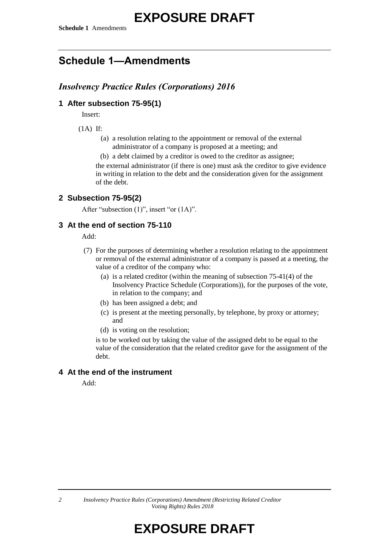### **Schedule 1—Amendments**

### *Insolvency Practice Rules (Corporations) 2016*

### **1 After subsection 75-95(1)**

Insert:

(1A) If:

(a) a resolution relating to the appointment or removal of the external administrator of a company is proposed at a meeting; and

(b) a debt claimed by a creditor is owed to the creditor as assignee; the external administrator (if there is one) must ask the creditor to give evidence in writing in relation to the debt and the consideration given for the assignment of the debt.

#### **2 Subsection 75-95(2)**

After "subsection (1)", insert "or (1A)".

#### **3 At the end of section 75-110**

Add:

- (7) For the purposes of determining whether a resolution relating to the appointment or removal of the external administrator of a company is passed at a meeting, the value of a creditor of the company who:
	- (a) is a related creditor (within the meaning of subsection 75-41(4) of the Insolvency Practice Schedule (Corporations)), for the purposes of the vote, in relation to the company; and
	- (b) has been assigned a debt; and
	- (c) is present at the meeting personally, by telephone, by proxy or attorney; and
	- (d) is voting on the resolution;

is to be worked out by taking the value of the assigned debt to be equal to the value of the consideration that the related creditor gave for the assignment of the debt.

#### **4 At the end of the instrument**

Add: